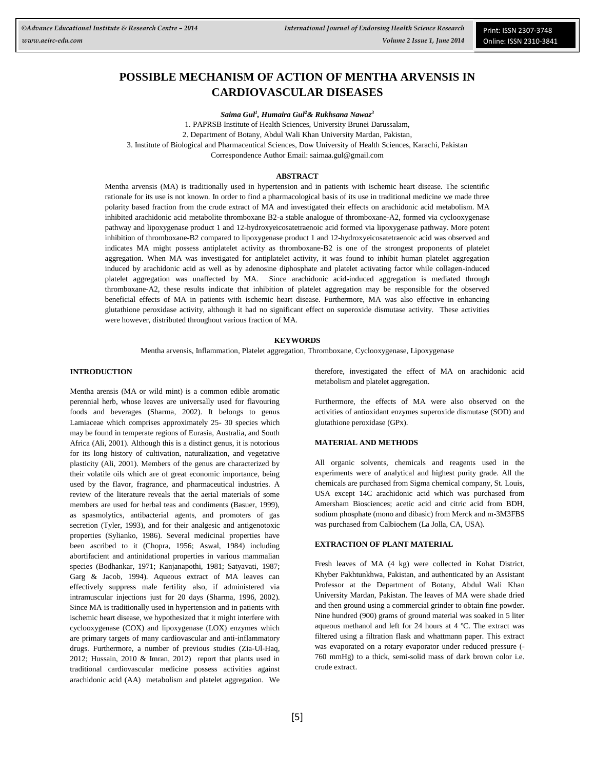# **POSSIBLE MECHANISM OF ACTION OF MENTHA ARVENSIS IN CARDIOVASCULAR DISEASES**

*Saima Gul<sup>1</sup> , Humaira Gul<sup>2</sup>& Rukhsana Nawaz<sup>3</sup>*

1. PAPRSB Institute of Health Sciences, University Brunei Darussalam, 2. Department of Botany, Abdul Wali Khan University Mardan, Pakistan, 3. Institute of Biological and Pharmaceutical Sciences, Dow University of Health Sciences, Karachi, Pakistan Correspondence Author Email[: saimaa.gul@gmail.com](mailto:saimaa.gul@gmail.com)

### **ABSTRACT**

Mentha arvensis (MA) is traditionally used in hypertension and in patients with ischemic heart disease. The scientific rationale for its use is not known. In order to find a pharmacological basis of its use in traditional medicine we made three polarity based fraction from the crude extract of MA and investigated their effects on arachidonic acid metabolism. MA inhibited arachidonic acid metabolite thromboxane B2-a stable analogue of thromboxane-A2, formed via cyclooxygenase pathway and lipoxygenase product 1 and 12-hydroxyeicosatetraenoic acid formed via lipoxygenase pathway. More potent inhibition of thromboxane-B2 compared to lipoxygenase product 1 and 12-hydroxyeicosatetraenoic acid was observed and indicates MA might possess antiplatelet activity as thromboxane-B2 is one of the strongest proponents of platelet aggregation. When MA was investigated for antiplatelet activity, it was found to inhibit human platelet aggregation induced by arachidonic acid as well as by adenosine diphosphate and platelet activating factor while collagen-induced platelet aggregation was unaffected by MA. Since arachidonic acid-induced aggregation is mediated through thromboxane-A2, these results indicate that inhibition of platelet aggregation may be responsible for the observed beneficial effects of MA in patients with ischemic heart disease. Furthermore, MA was also effective in enhancing glutathione peroxidase activity, although it had no significant effect on superoxide dismutase activity. These activities were however, distributed throughout various fraction of MA.

### **KEYWORDS**

Mentha arvensis, Inflammation, Platelet aggregation, Thromboxane, Cyclooxygenase, Lipoxygenase

### **INTRODUCTION**

Mentha arensis (MA or wild mint) is a common edible aromatic perennial herb, whose leaves are universally used for flavouring foods and beverages (Sharma, 2002). It belongs to genus Lamiaceae which comprises approximately 25- 30 species which may be found in temperate regions of Eurasia, Australia, and South Africa (Ali, 2001). Although this is a distinct genus, it is notorious for its long history of cultivation, naturalization, and vegetative plasticity (Ali, 2001). Members of the genus are characterized by their volatile oils which are of great economic importance, being used by the flavor, fragrance, and pharmaceutical industries. A review of the literature reveals that the aerial materials of some members are used for herbal teas and condiments (Basuer, 1999), as spasmolytics, antibacterial agents, and promoters of gas secretion (Tyler, 1993), and for their analgesic and antigenotoxic properties (Sylianko, 1986). Several medicinal properties have been ascribed to it (Chopra, 1956; Aswal, 1984) including abortifacient and antinidational properties in various mammalian species (Bodhankar, 1971; Kanjanapothi, 1981; Satyavati, 1987; Garg & Jacob, 1994). Aqueous extract of MA leaves can effectively suppress male fertility also, if administered via intramuscular injections just for 20 days (Sharma, 1996, 2002). Since MA is traditionally used in hypertension and in patients with ischemic heart disease, we hypothesized that it might interfere with cyclooxygenase (COX) and lipoxygenase (LOX) enzymes which are primary targets of many cardiovascular and anti-inflammatory drugs. Furthermore, a number of previous studies [\(Zia-](http://www.researchgate.net/researcher/76407618_M_Zia-ul-Haq/)Ul-Haq, 2012; Hussain, 2010 & Imran, 2012) report that plants used in traditional cardiovascular medicine possess activities against arachidonic acid (AA) metabolism and platelet aggregation. We therefore, investigated the effect of MA on arachidonic acid metabolism and platelet aggregation.

Furthermore, the effects of MA were also observed on the activities of antioxidant enzymes superoxide dismutase (SOD) and glutathione peroxidase (GPx).

### **MATERIAL AND METHODS**

All organic solvents, chemicals and reagents used in the experiments were of analytical and highest purity grade. All the chemicals are purchased from Sigma chemical company, St. Louis, USA except 14C arachidonic acid which was purchased from Amersham Biosciences; acetic acid and citric acid from BDH, sodium phosphate (mono and dibasic) from Merck and m-3M3FBS was purchased from Calbiochem (La Jolla, CA, USA).

# **EXTRACTION OF PLANT MATERIAL**

Fresh leaves of MA (4 kg) were collected in Kohat District, Khyber Pakhtunkhwa, Pakistan, and authenticated by an Assistant Professor at the Department of Botany, Abdul Wali Khan University Mardan, Pakistan. The leaves of MA were shade dried and then ground using a commercial grinder to obtain fine powder. Nine hundred (900) grams of ground material was soaked in 5 liter aqueous methanol and left for 24 hours at 4 ºC. The extract was filtered using a filtration flask and whattmann paper. This extract was evaporated on a rotary evaporator under reduced pressure (- 760 mmHg) to a thick, semi-solid mass of dark brown color i.e. crude extract.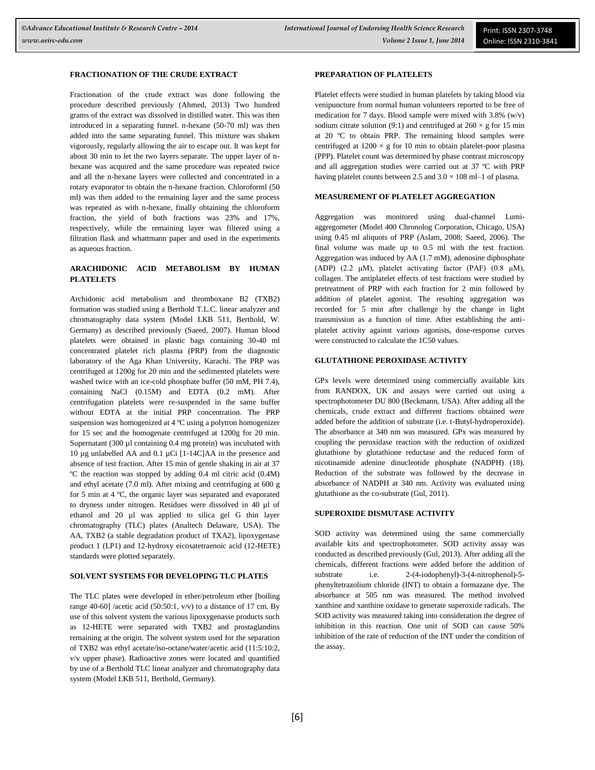### **FRACTIONATION OF THE CRUDE EXTRACT**

Fractionation of the crude extract was done following the procedure described previously (Ahmed, 2013) Two hundred grams of the extract was dissolved in distilled water. This was then introduced in a separating funnel. n-hexane (50-70 ml) was then added into the same separating funnel. This mixture was shaken vigorously, regularly allowing the air to escape out. It was kept for about 30 min to let the two layers separate. The upper layer of nhexane was acquired and the same procedure was repeated twice and all the n-hexane layers were collected and concentrated in a rotary evaporator to obtain the n-hexane fraction. Chloroforml (50 ml) was then added to the remaining layer and the same process was repeated as with n-hexane, finally obtaining the chloroform fraction, the yield of both fractions was 23% and 17%, respectively, while the remaining layer was filtered using a filtration flask and whattmann paper and used in the experiments as aqueous fraction.

# **ARACHIDONIC ACID METABOLISM BY HUMAN PLATELETS**

Archidonic acid metabolism and thromboxane B2 (TXB2) formation was studied using a Berthold T.L.C. linear analyzer and chromatography data system (Model LKB 511, Berthold, W. Germany) as described previously (Saeed, 2007). Human blood platelets were obtained in plastic bags containing 30-40 ml concentrated platelet rich plasma (PRP) from the diagnostic laboratory of the Aga Khan University, Karachi. The PRP was centrifuged at 1200g for 20 min and the sedimented platelets were washed twice with an ice-cold phosphate buffer (50 mM, PH 7.4), containing NaCl (0.15M) and EDTA (0.2 mM). After centrifugation platelets were re-suspended in the same buffer without EDTA at the initial PRP concentration. The PRP suspension was homogenized at 4 ºC using a polytron homogenizer for 15 sec and the homogenate centrifuged at 1200g for 20 min. Supernatant (300 µl containing 0.4 mg protein) was incubated with 10 µg unlabelled AA and 0.1 µCi [1-14C]AA in the presence and absence of test fraction. After 15 min of gentle shaking in air at 37 ºC the reaction was stopped by adding 0.4 ml citric acid (0.4M) and ethyl acetate (7.0 ml). After mixing and centrifuging at 600 g for 5 min at 4 ºC, the organic layer was separated and evaporated to dryness under nitrogen. Residues were dissolved in 40 µl of ethanol and 20 µl was applied to silica gel G thin layer chromatography (TLC) plates (Analtech Delaware, USA). The AA, TXB2 (a stable degradation product of TXA2), lipoxygenase product 1 (LP1) and 12-hydroxy eicosatetraenoic acid (12-HETE) standards were plotted separately.

# **SOLVENT SYSTEMS FOR DEVELOPING TLC PLATES**

The TLC plates were developed in ether/petroleum ether [boiling range 40-60] /acetic acid (50:50:1,  $v/v$ ) to a distance of 17 cm. By use of this solvent system the various lipoxygenasse products such as 12-HETE were separated with TXB2 and prostaglandins remaining at the origin. The solvent system used for the separation of TXB2 was ethyl acetate/iso-octane/water/acetic acid (11:5:10:2, v/v upper phase). Radioactive zones were located and quantified by use of a Berthold TLC linear analyzer and chromatography data system (Model LKB 511, Berthold, Germany).

# **PREPARATION OF PLATELETS**

Platelet effects were studied in human platelets by taking blood via venipuncture from normal human volunteers reported to be free of medication for 7 days. Blood sample were mixed with 3.8% (w/v) sodium citrate solution (9:1) and centrifuged at  $260 \times g$  for 15 min at 20 ºC to obtain PRP. The remaining blood samples were centrifuged at  $1200 \times g$  for 10 min to obtain platelet-poor plasma (PPP). Platelet count was determined by phase contrast microscopy and all aggregation studies were carried out at 37 ºC with PRP having platelet counts between 2.5 and  $3.0 \times 108$  ml–1 of plasma.

#### **MEASUREMENT OF PLATELET AGGREGATION**

Aggregation was monitored using dual-channel Lumiaggregometer (Model 400 Chronolog Corporation, Chicago, USA) using 0.45 ml aliquots of PRP (Aslam, 2008; Saeed, 2006). The final volume was made up to 0.5 ml with the test fraction. Aggregation was induced by AA (1.7 mM), adenosine diphosphate (ADP) (2.2 μM), platelet activating factor (PAF) (0.8 μM), collagen. The antiplatelet effects of test fractions were studied by pretreatment of PRP with each fraction for 2 min followed by addition of platelet agonist. The resulting aggregation was recorded for 5 min after challenge by the change in light transmission as a function of time. After establishing the antiplatelet activity against various agonists, dose-response curves were constructed to calculate the 1C50 values.

## **GLUTATHIONE PEROXIDASE ACTIVITY**

GPx levels were determined using commercially available kits from RANDOX, UK and assays were carried out using a spectrophotometer DU 800 (Beckmann, USA). After adding all the chemicals, crude extract and different fractions obtained were added before the addition of substrate (i.e. t-Butyl-hydroperoxide). The absorbance at 340 nm was measured. GPx was measured by coupling the peroxidase reaction with the reduction of oxidized glutathione by glutathione reductase and the reduced form of nicotinamide adenine dinucleotide phosphate (NADPH) (18). Reduction of the substrate was followed by the decrease in absorbance of NADPH at 340 nm. Activity was evaluated using glutathione as the co-substrate (Gul, 2011).

# **SUPEROXIDE DISMUTASE ACTIVITY**

SOD activity was determined using the same commercially available kits and spectrophotometer. SOD activity assay was conducted as described previously (Gul, 2013). After adding all the chemicals, different fractions were added before the addition of substrate i.e. 2-(4-iodophenyl)-3-(4-nitrophenol)-5 phenyltetrazolium chloride (INT) to obtain a formazane dye. The absorbance at 505 nm was measured. The method involved xanthine and xanthine oxidase to generate superoxide radicals. The SOD activity was measured taking into consideration the degree of inhibition in this reaction. One unit of SOD can cause 50% inhibition of the rate of reduction of the INT under the condition of the assay.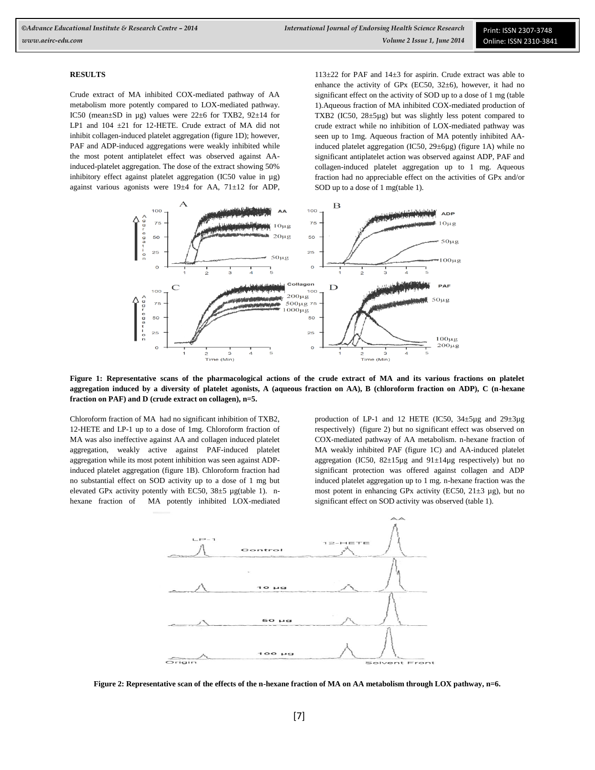# **RESULTS**

Crude extract of MA inhibited COX-mediated pathway of AA metabolism more potently compared to LOX-mediated pathway. IC50 (mean±SD in µg) values were 22±6 for TXB2, 92±14 for LP1 and 104 ±21 for 12-HETE. Crude extract of MA did not inhibit collagen-induced platelet aggregation (figure 1D); however, PAF and ADP-induced aggregations were weakly inhibited while the most potent antiplatelet effect was observed against AAinduced-platelet aggregation. The dose of the extract showing 50% inhibitory effect against platelet aggregation (IC50 value in µg) against various agonists were 19±4 for AA, 71±12 for ADP,

113±22 for PAF and 14±3 for aspirin. Crude extract was able to enhance the activity of GPx (EC50,  $32\pm6$ ), however, it had no significant effect on the activity of SOD up to a dose of 1 mg (table 1).Aqueous fraction of MA inhibited COX-mediated production of TXB2 (IC50, 28±5µg) but was slightly less potent compared to crude extract while no inhibition of LOX-mediated pathway was seen up to 1mg. Aqueous fraction of MA potently inhibited AAinduced platelet aggregation (IC50, 29±6µg) (figure 1A) while no significant antiplatelet action was observed against ADP, PAF and collagen-induced platelet aggregation up to 1 mg. Aqueous fraction had no appreciable effect on the activities of GPx and/or SOD up to a dose of 1 mg(table 1).



**Figure 1: Representative scans of the pharmacological actions of the crude extract of MA and its various fractions on platelet aggregation induced by a diversity of platelet agonists, A (aqueous fraction on AA), B (chloroform fraction on ADP), C (n-hexane fraction on PAF) and D (crude extract on collagen), n=5.**

Chloroform fraction of MA had no significant inhibition of TXB2, 12-HETE and LP-1 up to a dose of 1mg. Chloroform fraction of MA was also ineffective against AA and collagen induced platelet aggregation, weakly active against PAF-induced platelet aggregation while its most potent inhibition was seen against ADPinduced platelet aggregation (figure 1B). Chloroform fraction had no substantial effect on SOD activity up to a dose of 1 mg but elevated GPx activity potently with EC50, 38±5 µg(table 1). nhexane fraction of MA potently inhibited LOX-mediated

production of LP-1 and 12 HETE (IC50,  $34 \pm 5\mu$ g and  $29 \pm 3\mu$ g respectively) (figure 2) but no significant effect was observed on COX-mediated pathway of AA metabolism. n-hexane fraction of MA weakly inhibited PAF (figure 1C) and AA-induced platelet aggregation (IC50, 82±15µg and 91±14µg respectively) but no significant protection was offered against collagen and ADP induced platelet aggregation up to 1 mg. n-hexane fraction was the most potent in enhancing GPx activity (EC50,  $21\pm3$  µg), but no significant effect on SOD activity was observed (table 1).



**Figure 2: Representative scan of the effects of the n-hexane fraction of MA on AA metabolism through LOX pathway, n=6.**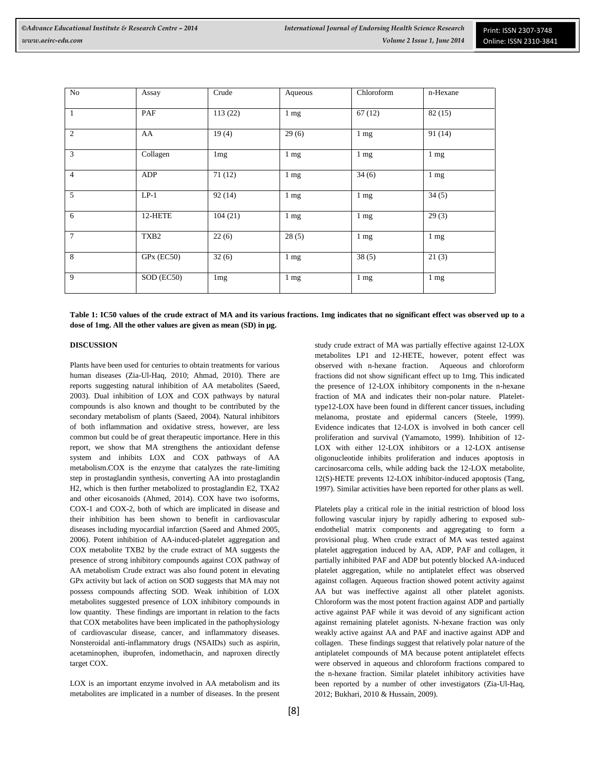| No             | Assay                   | Crude           | Aqueous        | Chloroform     | n-Hexane       |
|----------------|-------------------------|-----------------|----------------|----------------|----------------|
| $\mathbf{1}$   | PAF                     | 113(22)         | $1 \text{ mg}$ | 67(12)         | 82(15)         |
| 2              | AA                      | 19(4)           | 29(6)          | $1 \text{ mg}$ | 91(14)         |
| 3              | Collagen                | 1 <sub>mg</sub> | $1 \text{ mg}$ | $1 \text{ mg}$ | $1 \text{ mg}$ |
| $\overline{4}$ | ADP                     | 71(12)          | $1 \text{ mg}$ | 34(6)          | 1 mg           |
| 5              | $LP-1$                  | 92(14)          | $1 \text{ mg}$ | $1 \text{ mg}$ | 34(5)          |
| 6              | 12-HETE                 | 104(21)         | $1 \text{ mg}$ | $1 \text{ mg}$ | 29(3)          |
| $\overline{7}$ | TXB <sub>2</sub>        | 22(6)           | 28(5)          | $1 \text{ mg}$ | $1 \text{ mg}$ |
| 8              | GPx (EC50)              | 32(6)           | $1 \text{ mg}$ | 38(5)          | 21(3)          |
| 9              | $\overline{SOD}$ (EC50) | 1 <sub>mg</sub> | $1 \text{ mg}$ | $1 \text{ mg}$ | $1 \text{ mg}$ |

**Table 1: IC50 values of the crude extract of MA and its various fractions. 1mg indicates that no significant effect was observed up to a dose of 1mg. All the other values are given as mean (SD) in µg.**

### **DISCUSSION**

Plants have been used for centuries to obtain treatments for various human diseases (Zia-Ul-Haq, 2010; Ahmad, 2010). There are reports suggesting natural inhibition of AA metabolites (Saeed, 2003). Dual inhibition of LOX and COX pathways by natural compounds is also known and thought to be contributed by the secondary metabolism of plants (Saeed, 2004). Natural inhibitors of both inflammation and oxidative stress, however, are less common but could be of great therapeutic importance. Here in this report, we show that MA strengthens the antioxidant defense system and inhibits LOX and COX pathways of AA metabolism.COX is the enzyme that catalyzes the rate-limiting step in prostaglandin synthesis, converting AA into prostaglandin H2, which is then further metabolized to prostaglandin E2, TXA2 and other eicosanoids (Ahmed, 2014). COX have two isoforms, COX-1 and COX-2, both of which are implicated in disease and their inhibition has been shown to benefit in cardiovascular diseases including myocardial infarction (Saeed and Ahmed 2005, 2006). Potent inhibition of AA-induced-platelet aggregation and COX metabolite TXB2 by the crude extract of MA suggests the presence of strong inhibitory compounds against COX pathway of AA metabolism Crude extract was also found potent in elevating GPx activity but lack of action on SOD suggests that MA may not possess compounds affecting SOD. Weak inhibition of LOX metabolites suggested presence of LOX inhibitory compounds in low quantity. These findings are important in relation to the facts that COX metabolites have been implicated in the pathophysiology of cardiovascular disease, cancer, and inflammatory diseases. Nonsteroidal anti-inflammatory drugs (NSAIDs) such as aspirin, acetaminophen, ibuprofen, indomethacin, and naproxen directly target COX.

LOX is an important enzyme involved in AA metabolism and its metabolites are implicated in a number of diseases. In the present study crude extract of MA was partially effective against 12-LOX metabolites LP1 and 12-HETE, however, potent effect was observed with n-hexane fraction. Aqueous and chloroform fractions did not show significant effect up to 1mg. This indicated the presence of 12-LOX inhibitory components in the n-hexane fraction of MA and indicates their non-polar nature. Platelettype12-LOX have been found in different cancer tissues, including melanoma, prostate and epidermal cancers (Steele, 1999). Evidence indicates that 12-LOX is involved in both cancer cell proliferation and survival (Yamamoto, 1999). Inhibition of 12- LOX with either 12-LOX inhibitors or a 12-LOX antisense oligonucleotide inhibits proliferation and induces apoptosis in carcinosarcoma cells, while adding back the 12-LOX metabolite, 12(S)-HETE prevents 12-LOX inhibitor-induced apoptosis (Tang, 1997). Similar activities have been reported for other plans as well.

Platelets play a critical role in the initial restriction of blood loss following vascular injury by rapidly adhering to exposed subendothelial matrix components and aggregating to form a provisional plug. When crude extract of MA was tested against platelet aggregation induced by AA, ADP, PAF and collagen, it partially inhibited PAF and ADP but potently blocked AA-induced platelet aggregation, while no antiplatelet effect was observed against collagen. Aqueous fraction showed potent activity against AA but was ineffective against all other platelet agonists. Chloroform was the most potent fraction against ADP and partially active against PAF while it was devoid of any significant action against remaining platelet agonists. N-hexane fraction was only weakly active against AA and PAF and inactive against ADP and collagen. These findings suggest that relatively polar nature of the antiplatelet compounds of MA because potent antiplatelet effects were observed in aqueous and chloroform fractions compared to the n-hexane fraction. Similar platelet inhibitory activities have been reported by a number of other investigators (Zia-Ul-Haq, 2012; Bukhari, 2010 & Hussain, 2009).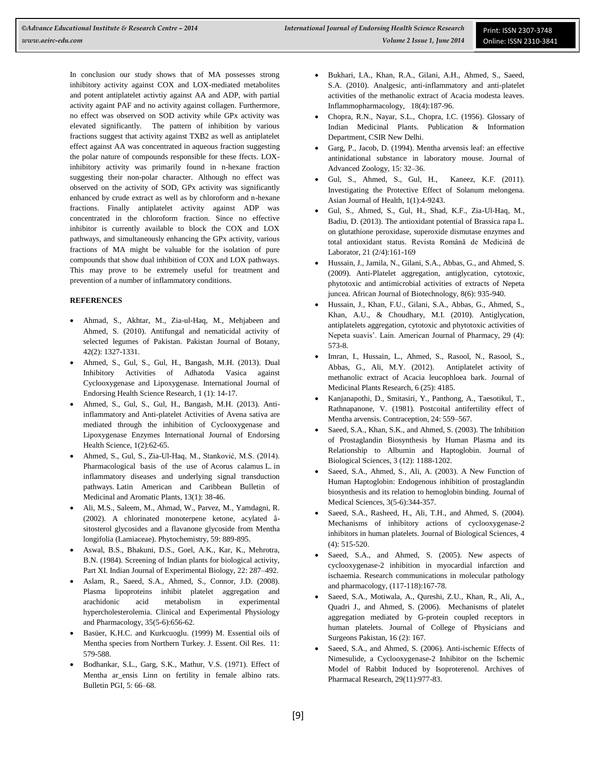In conclusion our study shows that of MA possesses strong inhibitory activity against COX and LOX-mediated metabolites and potent antiplatelet activtiy against AA and ADP, with partial activity againt PAF and no activity against collagen. Furthermore, no effect was observed on SOD activity while GPx activity was elevated significantly. The pattern of inhibition by various fractions suggest that activity against TXB2 as well as antiplatelet effect against AA was concentrated in aqueous fraction suggesting the polar nature of compounds responsible for these ffects. LOXinhibitory activity was primarily found in n-hexane fraction suggesting their non-polar character. Although no effect was observed on the activity of SOD, GPx activity was significantly enhanced by crude extract as well as by chloroform and n-hexane fractions. Finally antiplatelet activity against ADP was concentrated in the chloroform fraction. Since no effective inhibitor is currently available to block the COX and LOX pathways, and simultaneously enhancing the GPx activity, various fractions of MA might be valuable for the isolation of pure compounds that show dual inhibition of COX and LOX pathways. This may prove to be extremely useful for treatment and prevention of a number of inflammatory conditions.

# **REFERENCES**

- Ahmad, S., Akhtar, M., Zia-ul-Haq, M., Mehjabeen and Ahmed, S. (2010). Antifungal and nematicidal activity of selected legumes of Pakistan. Pakistan Journal of Botany, 42(2): 1327-1331.
- Ahmed, S., Gul, S., Gul, H., Bangash, M.H. (2013). [Dual](http://scholar.google.com/citations?view_op=view_citation&hl=en&user=VO8xfy0AAAAJ&citation_for_view=VO8xfy0AAAAJ:O3NaXMp0MMsC)  [Inhibitory Activities of Adhatoda Vasica against](http://scholar.google.com/citations?view_op=view_citation&hl=en&user=VO8xfy0AAAAJ&citation_for_view=VO8xfy0AAAAJ:O3NaXMp0MMsC)  [Cyclooxygenase and Lipoxygenase.](http://scholar.google.com/citations?view_op=view_citation&hl=en&user=VO8xfy0AAAAJ&citation_for_view=VO8xfy0AAAAJ:O3NaXMp0MMsC) International Journal of Endorsing Health Science Research, 1 (1): 14-17.
- Ahmed, S., Gul, S., Gul, H., Bangash, M.H. (2013). Antiinflammatory and Anti-platelet Activities of Avena sativa are mediated through the inhibition of Cyclooxygenase and Lipoxygenase Enzymes International Journal of Endorsing Health Science, 1(2):62-65.
- Ahmed, S., Gul, S., Zia-Ul-Haq, M., Stanković, M.S. (2014). Pharmacological basis of the use of Acorus calamus L. in inflammatory diseases and underlying signal transduction pathways. Latin American and Caribbean Bulletin of Medicinal and Aromatic Plants, 13(1): 38-46.
- Ali, M.S., Saleem, M., Ahmad, W., Parvez, M., Yamdagni, R. (2002). A chlorinated monoterpene ketone, acylated âsitosterol glycosides and a flavanone glycoside from Mentha longifolia (Lamiaceae). Phytochemistry, 59: 889-895.
- Aswal, B.S., Bhakuni, D.S., Goel, A.K., Kar, K., Mehrotra, B.N. (1984). Screening of Indian plants for biological activity, Part XI. Indian Journal of Experimental Biology, 22: 287–492.
- Aslam, R., Saeed, S.A., Ahmed, S., Connor, J.D. (2008). Plasma lipoproteins inhibit platelet aggregation and arachidonic acid metabolism in experimental hypercholesterolemia. Clinical and Experimental Physiology and Pharmacology, 35(5-6):656-62.
- Basüer, K.H.C. and Kurkcuoglu. (1999) M. Essential oils of Mentha species from Northern Turkey. J. Essent. Oil Res. 11: 579-588.
- Bodhankar, S.L., Garg, S.K., Mathur, V.S. (1971). Effect of Mentha ar\_ensis Linn on fertility in female albino rats. Bulletin PGI, 5: 66–68.
- Bukhari, I.A., Khan, R.A., Gilani, A.H., Ahmed, S., Saeed, S.A. (2010). Analgesic, anti-inflammatory and anti-platelet activities of the methanolic extract of Acacia modesta leaves. Inflammopharmacology, 18(4):187-96.
- Chopra, R.N., Nayar, S.L., Chopra, I.C. (1956). Glossary of Indian Medicinal Plants. Publication & Information Department, CSIR New Delhi.
- Garg, P., Jacob, D. (1994). Mentha arvensis leaf: an effective antinidational substance in laboratory mouse. Journal of Advanced Zoology, 15: 32–36.
- [Gul,](http://www.researchgate.net/researcher/84473358_SAIMA_GUL/) S., [Ahmed,](http://www.researchgate.net/researcher/84473058_SAGHEER_AHMED/) S., [Gul,](http://www.researchgate.net/researcher/17808510_HUMAIRA_GUL/) H., [Kaneez,](http://www.researchgate.net/researcher/10982552_FATIMA_SHAD_KANEEZ/) K.F. (2011). Investigating the Protective Effect of Solanum melongena. Asian Journal of Health, 1(1):4-9243.
- Gul, S., Ahmed, S., Gul, H., Shad, K.F., Zia-Ul-Haq, M., Badiu, D. (2013)[. The antioxidant potential of Brassica rapa L.](http://scholar.google.com/citations?view_op=view_citation&hl=en&user=VO8xfy0AAAAJ&pagesize=100&citation_for_view=VO8xfy0AAAAJ:hC7cP41nSMkC)  [on glutathione peroxidase, superoxide dismutase enzymes and](http://scholar.google.com/citations?view_op=view_citation&hl=en&user=VO8xfy0AAAAJ&pagesize=100&citation_for_view=VO8xfy0AAAAJ:hC7cP41nSMkC)  [total antioxidant status.](http://scholar.google.com/citations?view_op=view_citation&hl=en&user=VO8xfy0AAAAJ&pagesize=100&citation_for_view=VO8xfy0AAAAJ:hC7cP41nSMkC) Revista Română de Medicină de Laborator, 21 (2/4):161-169
- Hussain, J., Jamila, N., Gilani, S.A., Abbas, G., and Ahmed, S. (2009). Anti-Platelet aggregation, antiglycation, cytotoxic, phytotoxic and antimicrobial activities of extracts of Nepeta juncea. African Journal of Biotechnology, 8(6): 935-940.
- Hussain, J., Khan, F.U., Gilani, S.A., Abbas, G., Ahmed, S., Khan, A.U., & Choudhary, M.I. (2010). Antiglycation, antiplatelets aggregation, cytotoxic and phytotoxic activities of Nepeta suavis'. Lain. American Journal of Pharmacy, 29 (4): 573-8.
- Imran, I., Hussain, L., Ahmed, S., Rasool, N., Rasool, S., Abbas, G., Ali, M.Y. (2012). [Antiplatelet activity of](http://scholar.google.com/citations?view_op=view_citation&hl=en&user=VO8xfy0AAAAJ&pagesize=100&citation_for_view=VO8xfy0AAAAJ:GnPB-g6toBAC)  [methanolic extract of Acacia leucophloea bark.](http://scholar.google.com/citations?view_op=view_citation&hl=en&user=VO8xfy0AAAAJ&pagesize=100&citation_for_view=VO8xfy0AAAAJ:GnPB-g6toBAC) Journal of Medicinal Plants Research, 6 (25): 4185.
- Kanjanapothi, D., Smitasiri, Y., Panthong, A., Taesotikul, T., Rathnapanone, V. (1981). Postcoital antifertility effect of Mentha arvensis. Contraception, 24: 559–567.
- Saeed, S.A., Khan, S.K., and Ahmed, S. (2003). The Inhibition of Prostaglandin Biosynthesis by Human Plasma and its Relationship to Albumin and Haptoglobin. Journal of Biological Sciences, 3 (12): 1188-1202.
- Saeed, S.A., Ahmed, S., Ali, A. (2003). A New Function of Human Haptoglobin: Endogenous inhibition of prostaglandin biosynthesis and its relation to hemoglobin binding. Journal of Medical Sciences, 3(5-6):344-357.
- Saeed, S.A., Rasheed, H., Ali, T.H., and Ahmed, S. (2004). Mechanisms of inhibitory actions of cyclooxygenase-2 inhibitors in human platelets. Journal of Biological Sciences, 4 (4): 515-520.
- Saeed, S.A., and Ahmed, S. (2005). [New aspects of](http://www.biomedexperts.com/Abstract.bme/18426087/New_aspects_of_cyclooxygenase-2_inhibition_in_myocardial_infarction_and_ischaemia)  [cyclooxygenase-2 inhibition in myocardial infarction and](http://www.biomedexperts.com/Abstract.bme/18426087/New_aspects_of_cyclooxygenase-2_inhibition_in_myocardial_infarction_and_ischaemia)  [ischaemia.](http://www.biomedexperts.com/Abstract.bme/18426087/New_aspects_of_cyclooxygenase-2_inhibition_in_myocardial_infarction_and_ischaemia) Research communications in molecular pathology and pharmacology, (117-118):167-78.
- Saeed, S.A., Motiwala, A., Qureshi, Z.U., Khan, R., Ali, A., Quadri J., and Ahmed, S. (2006). Mechanisms of platelet aggregation mediated by G-protein coupled receptors in human platelets. Journal of College of Physicians and Surgeons Pakistan, 16 (2): 167.
- Saeed, S.A., and Ahmed, S. (2006). Anti-ischemic Effects of Nimesulide, a Cyclooxygenase-2 Inhibitor on the Ischemic Model of Rabbit Induced by Isoproterenol. Archives of Pharmacal Research, 29(11):977-83.